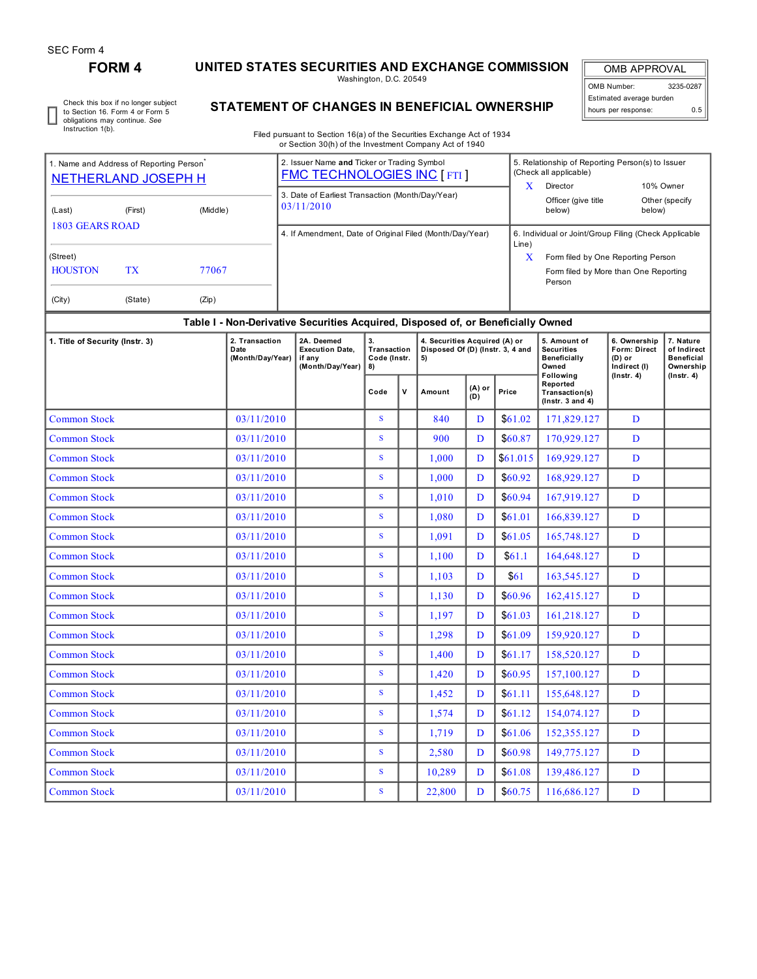## **FORM 4 UNITED STATES SECURITIES AND EXCHANGE COMMISSION**

Washington, D.C. 20549

OMB APPROVAL OMB Number: 3235-0287 Estimated average burden hours per response: 0.5

Check this box if no longer subject to Section 16. Form 4 or Form 5 obligations may continue. *See* Instruction 1(b).

# **STATEMENT OF CHANGES IN BENEFICIAL OWNERSHIP**

Filed pursuant to Section 16(a) of the Securities Exchange Act of 1934 or Section 30(h) of the Investment Company Act of 1940

| 1. Name and Address of Reporting Person<br>NETHERLAND JOSEPH H |           |          | 2. Issuer Name and Ticker or Trading Symbol<br><b>FMC TECHNOLOGIES INC [FTI]</b> | x                                                              | 5. Relationship of Reporting Person(s) to Issuer<br>(Check all applicable)<br>10% Owner<br>Director |                          |  |
|----------------------------------------------------------------|-----------|----------|----------------------------------------------------------------------------------|----------------------------------------------------------------|-----------------------------------------------------------------------------------------------------|--------------------------|--|
| (Last)                                                         | (First)   | (Middle) | 3. Date of Earliest Transaction (Month/Day/Year)<br>03/11/2010                   |                                                                | Officer (give title<br>below)                                                                       | Other (specify<br>below) |  |
| 1803 GEARS ROAD                                                |           |          | 4. If Amendment, Date of Original Filed (Month/Day/Year)                         | 6. Individual or Joint/Group Filing (Check Applicable<br>Line) |                                                                                                     |                          |  |
| (Street)                                                       |           |          |                                                                                  | x                                                              | Form filed by One Reporting Person                                                                  |                          |  |
| <b>HOUSTON</b>                                                 | <b>TX</b> | 77067    |                                                                                  |                                                                | Form filed by More than One Reporting<br>Person                                                     |                          |  |
| (City)                                                         | (State)   | (Zip)    |                                                                                  |                                                                |                                                                                                     |                          |  |

#### **Table I - Non-Derivative Securities Acquired, Disposed of, or Beneficially Owned**

| 1. Title of Security (Instr. 3) | 2. Transaction<br>Date<br>(Month/Day/Year) | 2A. Deemed<br><b>Execution Date,</b><br>if any<br>(Month/Day/Year) | 3.<br>Transaction<br>Code (Instr.<br>8) |   | 4. Securities Acquired (A) or<br>Disposed Of (D) (Instr. 3, 4 and<br>5) |               |          | 5. Amount of<br><b>Securities</b><br><b>Beneficially</b><br>Owned<br><b>Following</b> | 6. Ownership<br><b>Form: Direct</b><br>$(D)$ or<br>Indirect (I)<br>$($ lnstr. 4 $)$ | 7. Nature<br>of Indirect<br><b>Beneficial</b><br>Ownership<br>(Instr. 4) |
|---------------------------------|--------------------------------------------|--------------------------------------------------------------------|-----------------------------------------|---|-------------------------------------------------------------------------|---------------|----------|---------------------------------------------------------------------------------------|-------------------------------------------------------------------------------------|--------------------------------------------------------------------------|
|                                 |                                            |                                                                    | Code                                    | v | Amount                                                                  | (A) or<br>(D) | Price    | Reported<br>Transaction(s)<br>$($ Instr. 3 and 4 $)$                                  |                                                                                     |                                                                          |
| <b>Common Stock</b>             | 03/11/2010                                 |                                                                    | S                                       |   | 840                                                                     | D             | \$61.02  | 171,829.127                                                                           | D                                                                                   |                                                                          |
| <b>Common Stock</b>             | 03/11/2010                                 |                                                                    | S                                       |   | 900                                                                     | D             | \$60.87  | 170,929.127                                                                           | D                                                                                   |                                                                          |
| <b>Common Stock</b>             | 03/11/2010                                 |                                                                    | S                                       |   | 1.000                                                                   | D             | \$61.015 | 169,929.127                                                                           | D                                                                                   |                                                                          |
| <b>Common Stock</b>             | 03/11/2010                                 |                                                                    | S                                       |   | 1.000                                                                   | D             | \$60.92  | 168,929.127                                                                           | D                                                                                   |                                                                          |
| <b>Common Stock</b>             | 03/11/2010                                 |                                                                    | S                                       |   | 1,010                                                                   | D             | \$60.94  | 167,919.127                                                                           | D                                                                                   |                                                                          |
| <b>Common Stock</b>             | 03/11/2010                                 |                                                                    | S.                                      |   | 1,080                                                                   | D             | \$61.01  | 166,839.127                                                                           | D                                                                                   |                                                                          |
| <b>Common Stock</b>             | 03/11/2010                                 |                                                                    | S.                                      |   | 1,091                                                                   | D             | \$61.05  | 165,748.127                                                                           | D                                                                                   |                                                                          |
| <b>Common Stock</b>             | 03/11/2010                                 |                                                                    | S                                       |   | 1.100                                                                   | D             | \$61.1   | 164,648.127                                                                           | D                                                                                   |                                                                          |
| <b>Common Stock</b>             | 03/11/2010                                 |                                                                    | S                                       |   | 1,103                                                                   | D             | \$61     | 163,545.127                                                                           | D                                                                                   |                                                                          |
| <b>Common Stock</b>             | 03/11/2010                                 |                                                                    | S                                       |   | 1,130                                                                   | D             | \$60.96  | 162,415.127                                                                           | D                                                                                   |                                                                          |
| <b>Common Stock</b>             | 03/11/2010                                 |                                                                    | S                                       |   | 1,197                                                                   | D             | \$61.03  | 161,218.127                                                                           | D                                                                                   |                                                                          |
| <b>Common Stock</b>             | 03/11/2010                                 |                                                                    | S.                                      |   | 1,298                                                                   | D             | \$61.09  | 159,920.127                                                                           | D                                                                                   |                                                                          |
| <b>Common Stock</b>             | 03/11/2010                                 |                                                                    | S                                       |   | 1,400                                                                   | $\mathbf{D}$  | \$61.17  | 158,520.127                                                                           | D                                                                                   |                                                                          |
| <b>Common Stock</b>             | 03/11/2010                                 |                                                                    | S.                                      |   | 1,420                                                                   | D             | \$60.95  | 157,100.127                                                                           | D                                                                                   |                                                                          |
| <b>Common Stock</b>             | 03/11/2010                                 |                                                                    | S                                       |   | 1,452                                                                   | D             | \$61.11  | 155,648.127                                                                           | D                                                                                   |                                                                          |
| <b>Common Stock</b>             | 03/11/2010                                 |                                                                    | S                                       |   | 1,574                                                                   | D             | \$61.12  | 154,074.127                                                                           | D                                                                                   |                                                                          |
| <b>Common Stock</b>             | 03/11/2010                                 |                                                                    | S                                       |   | 1,719                                                                   | D             | \$61.06  | 152,355.127                                                                           | D                                                                                   |                                                                          |
| <b>Common Stock</b>             | 03/11/2010                                 |                                                                    | S                                       |   | 2,580                                                                   | D             | \$60.98  | 149,775.127                                                                           | D                                                                                   |                                                                          |
| <b>Common Stock</b>             | 03/11/2010                                 |                                                                    | S.                                      |   | 10,289                                                                  | D             | \$61.08  | 139,486.127                                                                           | D                                                                                   |                                                                          |
| <b>Common Stock</b>             | 03/11/2010                                 |                                                                    | S.                                      |   | 22,800                                                                  | D             | \$60.75  | 116,686.127                                                                           | D                                                                                   |                                                                          |